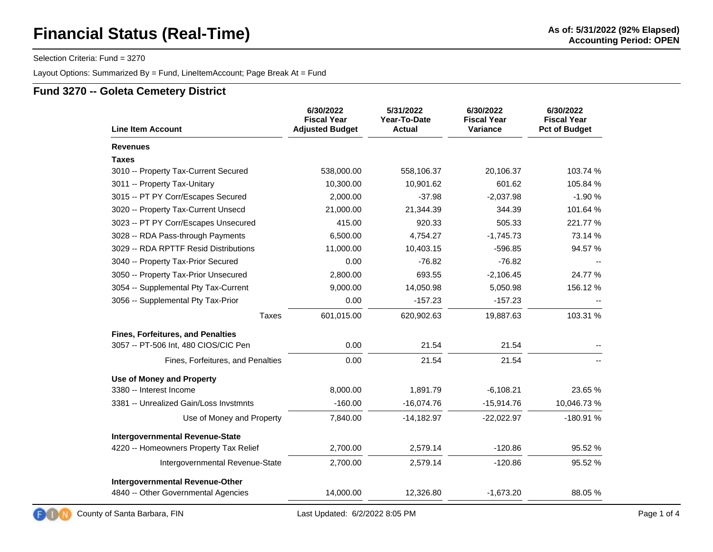Selection Criteria: Fund = 3270

Layout Options: Summarized By = Fund, LineItemAccount; Page Break At = Fund

| <b>Line Item Account</b>                 | 6/30/2022<br><b>Fiscal Year</b><br><b>Adjusted Budget</b> | 5/31/2022<br>Year-To-Date<br><b>Actual</b> | 6/30/2022<br><b>Fiscal Year</b><br>Variance | 6/30/2022<br><b>Fiscal Year</b><br><b>Pct of Budget</b> |
|------------------------------------------|-----------------------------------------------------------|--------------------------------------------|---------------------------------------------|---------------------------------------------------------|
| <b>Revenues</b>                          |                                                           |                                            |                                             |                                                         |
| <b>Taxes</b>                             |                                                           |                                            |                                             |                                                         |
| 3010 -- Property Tax-Current Secured     | 538,000.00                                                | 558,106.37                                 | 20,106.37                                   | 103.74 %                                                |
| 3011 -- Property Tax-Unitary             | 10,300.00                                                 | 10,901.62                                  | 601.62                                      | 105.84 %                                                |
| 3015 -- PT PY Corr/Escapes Secured       | 2,000.00                                                  | $-37.98$                                   | $-2,037.98$                                 | $-1.90%$                                                |
| 3020 -- Property Tax-Current Unsecd      | 21,000.00                                                 | 21,344.39                                  | 344.39                                      | 101.64 %                                                |
| 3023 -- PT PY Corr/Escapes Unsecured     | 415.00                                                    | 920.33                                     | 505.33                                      | 221.77 %                                                |
| 3028 -- RDA Pass-through Payments        | 6,500.00                                                  | 4,754.27                                   | $-1,745.73$                                 | 73.14 %                                                 |
| 3029 -- RDA RPTTF Resid Distributions    | 11,000.00                                                 | 10,403.15                                  | $-596.85$                                   | 94.57 %                                                 |
| 3040 -- Property Tax-Prior Secured       | 0.00                                                      | $-76.82$                                   | $-76.82$                                    |                                                         |
| 3050 -- Property Tax-Prior Unsecured     | 2,800.00                                                  | 693.55                                     | $-2,106.45$                                 | 24.77 %                                                 |
| 3054 -- Supplemental Pty Tax-Current     | 9,000.00                                                  | 14,050.98                                  | 5,050.98                                    | 156.12%                                                 |
| 3056 -- Supplemental Pty Tax-Prior       | 0.00                                                      | $-157.23$                                  | $-157.23$                                   |                                                         |
| Taxes                                    | 601,015.00                                                | 620,902.63                                 | 19,887.63                                   | 103.31 %                                                |
| <b>Fines, Forfeitures, and Penalties</b> |                                                           |                                            |                                             |                                                         |
| 3057 -- PT-506 Int, 480 CIOS/CIC Pen     | 0.00                                                      | 21.54                                      | 21.54                                       |                                                         |
| Fines, Forfeitures, and Penalties        | 0.00                                                      | 21.54                                      | 21.54                                       |                                                         |
| <b>Use of Money and Property</b>         |                                                           |                                            |                                             |                                                         |
| 3380 -- Interest Income                  | 8,000.00                                                  | 1,891.79                                   | $-6,108.21$                                 | 23.65 %                                                 |
| 3381 -- Unrealized Gain/Loss Invstmnts   | $-160.00$                                                 | $-16,074.76$                               | $-15,914.76$                                | 10,046.73%                                              |
| Use of Money and Property                | 7,840.00                                                  | $-14,182.97$                               | $-22,022.97$                                | $-180.91%$                                              |
| <b>Intergovernmental Revenue-State</b>   |                                                           |                                            |                                             |                                                         |
| 4220 -- Homeowners Property Tax Relief   | 2,700.00                                                  | 2,579.14                                   | $-120.86$                                   | 95.52 %                                                 |
| Intergovernmental Revenue-State          | 2,700.00                                                  | 2,579.14                                   | $-120.86$                                   | 95.52 %                                                 |
| <b>Intergovernmental Revenue-Other</b>   |                                                           |                                            |                                             |                                                         |
| 4840 -- Other Governmental Agencies      | 14,000.00                                                 | 12,326.80                                  | $-1,673.20$                                 | 88.05 %                                                 |

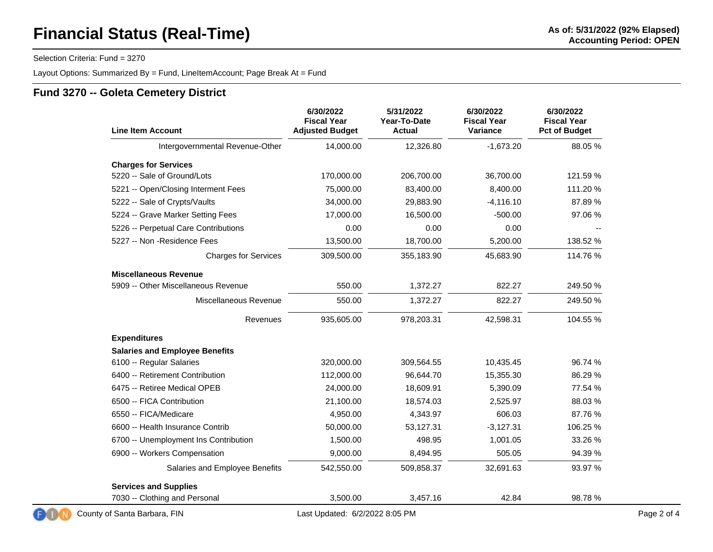Selection Criteria: Fund = 3270

Layout Options: Summarized By = Fund, LineItemAccount; Page Break At = Fund

| <b>Line Item Account</b>              | 6/30/2022<br><b>Fiscal Year</b><br><b>Adjusted Budget</b> | 5/31/2022<br>Year-To-Date<br><b>Actual</b> | 6/30/2022<br><b>Fiscal Year</b><br>Variance | 6/30/2022<br><b>Fiscal Year</b><br><b>Pct of Budget</b> |
|---------------------------------------|-----------------------------------------------------------|--------------------------------------------|---------------------------------------------|---------------------------------------------------------|
| Intergovernmental Revenue-Other       | 14,000.00                                                 | 12,326.80                                  | $-1,673.20$                                 | 88.05%                                                  |
| <b>Charges for Services</b>           |                                                           |                                            |                                             |                                                         |
| 5220 -- Sale of Ground/Lots           | 170,000.00                                                | 206,700.00                                 | 36,700.00                                   | 121.59 %                                                |
| 5221 -- Open/Closing Interment Fees   | 75,000.00                                                 | 83,400.00                                  | 8,400.00                                    | 111.20%                                                 |
| 5222 -- Sale of Crypts/Vaults         | 34,000.00                                                 | 29,883.90                                  | $-4,116.10$                                 | 87.89%                                                  |
| 5224 -- Grave Marker Setting Fees     | 17,000.00                                                 | 16,500.00                                  | $-500.00$                                   | 97.06%                                                  |
| 5226 -- Perpetual Care Contributions  | 0.00                                                      | 0.00                                       | 0.00                                        |                                                         |
| 5227 -- Non -Residence Fees           | 13,500.00                                                 | 18,700.00                                  | 5,200.00                                    | 138.52 %                                                |
| <b>Charges for Services</b>           | 309,500.00                                                | 355,183.90                                 | 45,683.90                                   | 114.76 %                                                |
| <b>Miscellaneous Revenue</b>          |                                                           |                                            |                                             |                                                         |
| 5909 -- Other Miscellaneous Revenue   | 550.00                                                    | 1,372.27                                   | 822.27                                      | 249.50 %                                                |
| Miscellaneous Revenue                 | 550.00                                                    | 1,372.27                                   | 822.27                                      | 249.50 %                                                |
| Revenues                              | 935,605.00                                                | 978,203.31                                 | 42,598.31                                   | 104.55 %                                                |
| <b>Expenditures</b>                   |                                                           |                                            |                                             |                                                         |
| <b>Salaries and Employee Benefits</b> |                                                           |                                            |                                             |                                                         |
| 6100 -- Regular Salaries              | 320,000.00                                                | 309,564.55                                 | 10,435.45                                   | 96.74 %                                                 |
| 6400 -- Retirement Contribution       | 112,000.00                                                | 96,644.70                                  | 15,355.30                                   | 86.29 %                                                 |
| 6475 -- Retiree Medical OPEB          | 24,000.00                                                 | 18,609.91                                  | 5,390.09                                    | 77.54 %                                                 |
| 6500 -- FICA Contribution             | 21,100.00                                                 | 18,574.03                                  | 2,525.97                                    | 88.03%                                                  |
| 6550 -- FICA/Medicare                 | 4,950.00                                                  | 4,343.97                                   | 606.03                                      | 87.76%                                                  |
| 6600 -- Health Insurance Contrib      | 50,000.00                                                 | 53,127.31                                  | $-3,127.31$                                 | 106.25%                                                 |
| 6700 -- Unemployment Ins Contribution | 1,500.00                                                  | 498.95                                     | 1,001.05                                    | 33.26 %                                                 |
| 6900 -- Workers Compensation          | 9,000.00                                                  | 8,494.95                                   | 505.05                                      | 94.39%                                                  |
| Salaries and Employee Benefits        | 542,550.00                                                | 509,858.37                                 | 32,691.63                                   | 93.97 %                                                 |
| <b>Services and Supplies</b>          |                                                           |                                            |                                             |                                                         |
|                                       |                                                           |                                            | 42.84                                       | 98.78%                                                  |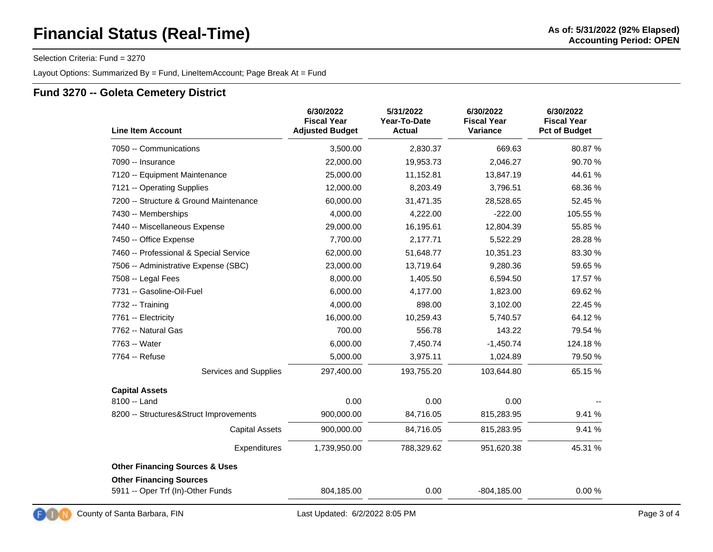Selection Criteria: Fund = 3270

Layout Options: Summarized By = Fund, LineItemAccount; Page Break At = Fund

|                                           | 6/30/2022<br><b>Fiscal Year</b> | 5/31/2022<br>Year-To-Date | 6/30/2022<br><b>Fiscal Year</b> | 6/30/2022<br><b>Fiscal Year</b> |  |
|-------------------------------------------|---------------------------------|---------------------------|---------------------------------|---------------------------------|--|
| <b>Line Item Account</b>                  | <b>Adjusted Budget</b>          | <b>Actual</b>             | Variance                        | <b>Pct of Budget</b>            |  |
| 7050 -- Communications                    | 3,500.00                        | 2,830.37                  | 669.63                          | 80.87%                          |  |
| 7090 -- Insurance                         | 22,000.00                       | 19,953.73                 | 2,046.27                        | 90.70%                          |  |
| 7120 -- Equipment Maintenance             | 25,000.00                       | 11,152.81                 | 13,847.19                       | 44.61 %                         |  |
| 7121 -- Operating Supplies                | 12,000.00                       | 8,203.49                  | 3,796.51                        | 68.36%                          |  |
| 7200 -- Structure & Ground Maintenance    | 60,000.00                       | 31,471.35                 | 28,528.65                       | 52.45 %                         |  |
| 7430 -- Memberships                       | 4,000.00                        | 4,222.00                  | $-222.00$                       | 105.55 %                        |  |
| 7440 -- Miscellaneous Expense             | 29,000.00                       | 16,195.61                 | 12,804.39                       | 55.85 %                         |  |
| 7450 -- Office Expense                    | 7,700.00                        | 2,177.71                  | 5,522.29                        | 28.28%                          |  |
| 7460 -- Professional & Special Service    | 62,000.00                       | 51,648.77                 | 10,351.23                       | 83.30 %                         |  |
| 7506 -- Administrative Expense (SBC)      | 23,000.00                       | 13,719.64                 | 9,280.36                        | 59.65 %                         |  |
| 7508 -- Legal Fees                        | 8,000.00                        | 1,405.50                  | 6,594.50                        | 17.57 %                         |  |
| 7731 -- Gasoline-Oil-Fuel                 | 6,000.00                        | 4,177.00                  | 1,823.00                        | 69.62%                          |  |
| 7732 -- Training                          | 4,000.00                        | 898.00                    | 3,102.00                        | 22.45 %                         |  |
| 7761 -- Electricity                       | 16,000.00                       | 10,259.43                 | 5,740.57                        | 64.12%                          |  |
| 7762 -- Natural Gas                       | 700.00                          | 556.78                    | 143.22                          | 79.54 %                         |  |
| 7763 -- Water                             | 6,000.00                        | 7,450.74                  | $-1,450.74$                     | 124.18%                         |  |
| 7764 -- Refuse                            | 5,000.00                        | 3,975.11                  | 1,024.89                        | 79.50 %                         |  |
| Services and Supplies                     | 297,400.00                      | 193,755.20                | 103,644.80                      | 65.15%                          |  |
| <b>Capital Assets</b>                     |                                 |                           |                                 |                                 |  |
| 8100 -- Land                              | 0.00                            | 0.00                      | 0.00                            |                                 |  |
| 8200 -- Structures&Struct Improvements    | 900,000.00                      | 84,716.05                 | 815,283.95                      | 9.41 %                          |  |
| <b>Capital Assets</b>                     | 900,000.00                      | 84,716.05                 | 815,283.95                      | 9.41 %                          |  |
| Expenditures                              | 1,739,950.00                    | 788,329.62                | 951,620.38                      | 45.31 %                         |  |
| <b>Other Financing Sources &amp; Uses</b> |                                 |                           |                                 |                                 |  |
| <b>Other Financing Sources</b>            |                                 |                           |                                 |                                 |  |
| 5911 -- Oper Trf (In)-Other Funds         | 804,185.00                      | 0.00                      | $-804, 185.00$                  | 0.00%                           |  |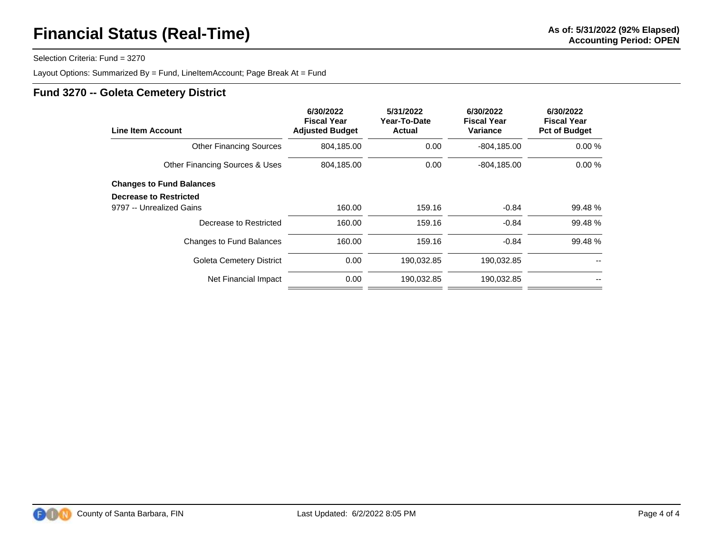Selection Criteria: Fund = 3270

Layout Options: Summarized By = Fund, LineItemAccount; Page Break At = Fund

| Line Item Account               | 6/30/2022<br><b>Fiscal Year</b><br><b>Adjusted Budget</b> | 5/31/2022<br>Year-To-Date<br><b>Actual</b> | 6/30/2022<br><b>Fiscal Year</b><br>Variance | 6/30/2022<br><b>Fiscal Year</b><br><b>Pct of Budget</b> |  |
|---------------------------------|-----------------------------------------------------------|--------------------------------------------|---------------------------------------------|---------------------------------------------------------|--|
| <b>Other Financing Sources</b>  | 804,185.00                                                | 0.00                                       | -804,185.00                                 | 0.00%                                                   |  |
| Other Financing Sources & Uses  | 804,185.00                                                | 0.00                                       | $-804, 185.00$                              | 0.00%                                                   |  |
| <b>Changes to Fund Balances</b> |                                                           |                                            |                                             |                                                         |  |
| Decrease to Restricted          |                                                           |                                            |                                             |                                                         |  |
| 9797 -- Unrealized Gains        | 160.00                                                    | 159.16                                     | $-0.84$                                     | 99.48 %                                                 |  |
| Decrease to Restricted          | 160.00                                                    | 159.16                                     | $-0.84$                                     | 99.48 %                                                 |  |
| Changes to Fund Balances        | 160.00                                                    | 159.16                                     | $-0.84$                                     | 99.48 %                                                 |  |
| <b>Goleta Cemetery District</b> | 0.00                                                      | 190,032.85                                 | 190,032.85                                  |                                                         |  |
| Net Financial Impact            | 0.00                                                      | 190,032.85                                 | 190,032.85                                  |                                                         |  |

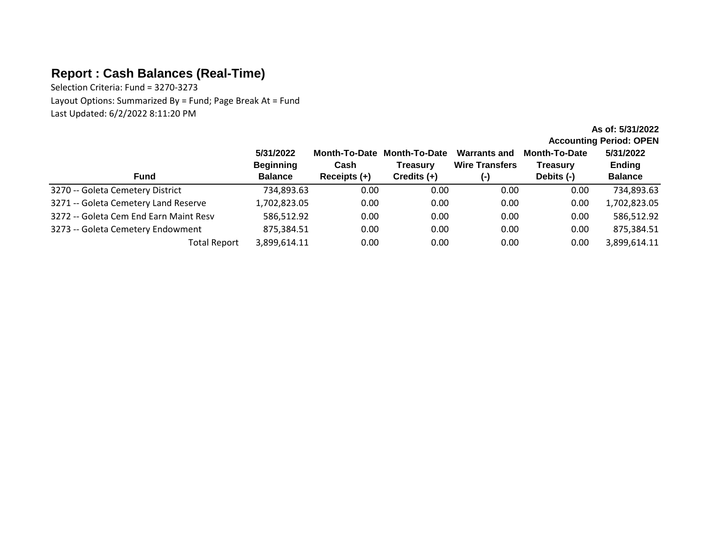### **Report : Cash Balances (Real-Time)**

Selection Criteria: Fund = 3270-3273 Layout Options: Summarized By = Fund; Page Break At = Fund Last Updated: 6/2/2022 8:11:20 PM

> **As of: 5/31/2022 Accounting Period: OPEN**

|                               |                |                                                                        |                                                                     |                                         | $1.9999$ and $1.9119$ and $1.911$ and $1.911$ |
|-------------------------------|----------------|------------------------------------------------------------------------|---------------------------------------------------------------------|-----------------------------------------|-----------------------------------------------|
| 5/31/2022<br><b>Beginning</b> | Cash           | <b>Treasury</b>                                                        | <b>Warrants and</b><br><b>Wire Transfers</b>                        | <b>Month-To-Date</b><br><b>Treasury</b> | 5/31/2022<br><b>Ending</b>                    |
| <b>Balance</b>                | Receipts $(+)$ | Credits $(+)$                                                          | $(\cdot)$                                                           | Debits (-)                              | <b>Balance</b>                                |
|                               |                |                                                                        |                                                                     | 0.00                                    | 734,893.63                                    |
|                               |                | 0.00                                                                   |                                                                     | 0.00                                    | 1,702,823.05                                  |
|                               |                |                                                                        |                                                                     | 0.00                                    | 586,512.92                                    |
|                               |                |                                                                        |                                                                     | 0.00                                    | 875,384.51                                    |
|                               |                |                                                                        |                                                                     | 0.00                                    | 3,899,614.11                                  |
| <b>Total Report</b>           |                | 734,893.63<br>1,702,823.05<br>586,512.92<br>875,384.51<br>3,899,614.11 | Month-To-Date Month-To-Date<br>0.00<br>0.00<br>0.00<br>0.00<br>0.00 | 0.00<br>0.00<br>0.00<br>0.00            | 0.00<br>0.00<br>0.00<br>0.00<br>0.00          |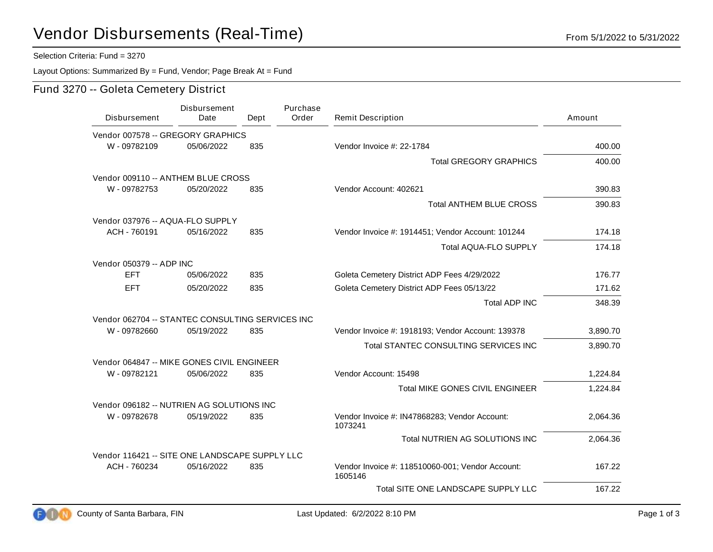#### Selection Criteria: Fund = 3270

Layout Options: Summarized By = Fund, Vendor; Page Break At = Fund

| <b>Disbursement</b>                              | Disbursement<br>Date | Dept | Purchase<br>Order | <b>Remit Description</b>                                    | Amount   |
|--------------------------------------------------|----------------------|------|-------------------|-------------------------------------------------------------|----------|
| Vendor 007578 -- GREGORY GRAPHICS                |                      |      |                   |                                                             |          |
| W - 09782109                                     | 05/06/2022           | 835  |                   | Vendor Invoice #: 22-1784                                   | 400.00   |
|                                                  |                      |      |                   | <b>Total GREGORY GRAPHICS</b>                               | 400.00   |
| Vendor 009110 -- ANTHEM BLUE CROSS               |                      |      |                   |                                                             |          |
| W - 09782753                                     | 05/20/2022           | 835  |                   | Vendor Account: 402621                                      | 390.83   |
|                                                  |                      |      |                   | <b>Total ANTHEM BLUE CROSS</b>                              | 390.83   |
| Vendor 037976 -- AQUA-FLO SUPPLY                 |                      |      |                   |                                                             |          |
| ACH - 760191                                     | 05/16/2022           | 835  |                   | Vendor Invoice #: 1914451; Vendor Account: 101244           | 174.18   |
|                                                  |                      |      |                   | Total AQUA-FLO SUPPLY                                       | 174.18   |
| Vendor 050379 -- ADP INC                         |                      |      |                   |                                                             |          |
| <b>EFT</b>                                       | 05/06/2022           | 835  |                   | Goleta Cemetery District ADP Fees 4/29/2022                 | 176.77   |
| <b>EFT</b>                                       | 05/20/2022           | 835  |                   | Goleta Cemetery District ADP Fees 05/13/22                  | 171.62   |
|                                                  |                      |      |                   | <b>Total ADP INC</b>                                        | 348.39   |
| Vendor 062704 -- STANTEC CONSULTING SERVICES INC |                      |      |                   |                                                             |          |
| W - 09782660                                     | 05/19/2022           | 835  |                   | Vendor Invoice #: 1918193; Vendor Account: 139378           | 3,890.70 |
|                                                  |                      |      |                   | Total STANTEC CONSULTING SERVICES INC                       | 3,890.70 |
| Vendor 064847 -- MIKE GONES CIVIL ENGINEER       |                      |      |                   |                                                             |          |
| W - 09782121                                     | 05/06/2022           | 835  |                   | Vendor Account: 15498                                       | 1,224.84 |
|                                                  |                      |      |                   | <b>Total MIKE GONES CIVIL ENGINEER</b>                      | 1,224.84 |
| Vendor 096182 -- NUTRIEN AG SOLUTIONS INC        |                      |      |                   |                                                             |          |
| W - 09782678                                     | 05/19/2022           | 835  |                   | Vendor Invoice #: IN47868283; Vendor Account:<br>1073241    | 2,064.36 |
|                                                  |                      |      |                   | Total NUTRIEN AG SOLUTIONS INC                              | 2,064.36 |
| Vendor 116421 -- SITE ONE LANDSCAPE SUPPLY LLC   |                      |      |                   |                                                             |          |
| ACH - 760234                                     | 05/16/2022           | 835  |                   | Vendor Invoice #: 118510060-001; Vendor Account:<br>1605146 | 167.22   |
|                                                  |                      |      |                   | Total SITE ONE LANDSCAPE SUPPLY LLC                         | 167.22   |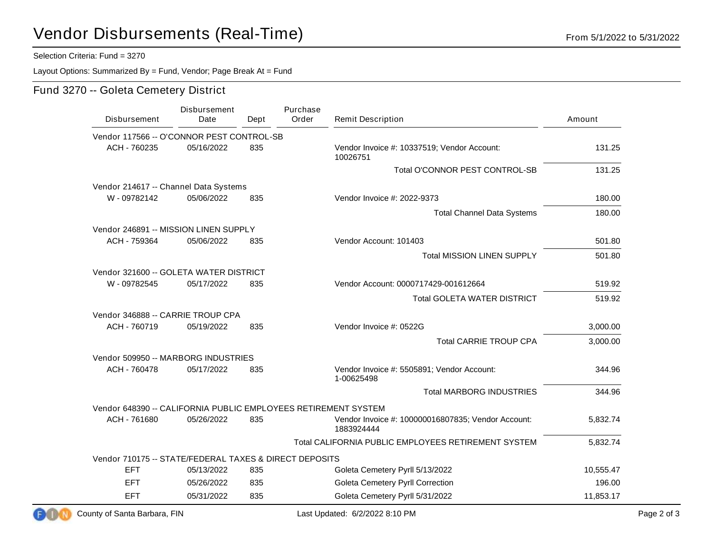#### Selection Criteria: Fund = 3270

Layout Options: Summarized By = Fund, Vendor; Page Break At = Fund

| Disbursement                                                   | Disbursement<br>Date | Dept | Purchase<br>Order | <b>Remit Description</b>                                         | Amount    |
|----------------------------------------------------------------|----------------------|------|-------------------|------------------------------------------------------------------|-----------|
| Vendor 117566 -- O'CONNOR PEST CONTROL-SB                      |                      |      |                   |                                                                  |           |
| ACH - 760235                                                   | 05/16/2022           | 835  |                   | Vendor Invoice #: 10337519; Vendor Account:<br>10026751          | 131.25    |
|                                                                |                      |      |                   | Total O'CONNOR PEST CONTROL-SB                                   | 131.25    |
| Vendor 214617 -- Channel Data Systems                          |                      |      |                   |                                                                  |           |
| W - 09782142                                                   | 05/06/2022           | 835  |                   | Vendor Invoice #: 2022-9373                                      | 180.00    |
|                                                                |                      |      |                   | <b>Total Channel Data Systems</b>                                | 180.00    |
| Vendor 246891 -- MISSION LINEN SUPPLY                          |                      |      |                   |                                                                  |           |
| ACH - 759364                                                   | 05/06/2022           | 835  |                   | Vendor Account: 101403                                           | 501.80    |
|                                                                |                      |      |                   | <b>Total MISSION LINEN SUPPLY</b>                                | 501.80    |
| Vendor 321600 -- GOLETA WATER DISTRICT                         |                      |      |                   |                                                                  |           |
| W - 09782545                                                   | 05/17/2022           | 835  |                   | Vendor Account: 0000717429-001612664                             | 519.92    |
|                                                                |                      |      |                   | <b>Total GOLETA WATER DISTRICT</b>                               | 519.92    |
| Vendor 346888 -- CARRIE TROUP CPA                              |                      |      |                   |                                                                  |           |
| ACH - 760719                                                   | 05/19/2022           | 835  |                   | Vendor Invoice #: 0522G                                          | 3,000.00  |
|                                                                |                      |      |                   | <b>Total CARRIE TROUP CPA</b>                                    | 3,000.00  |
| Vendor 509950 -- MARBORG INDUSTRIES                            |                      |      |                   |                                                                  |           |
| ACH - 760478                                                   | 05/17/2022           | 835  |                   | Vendor Invoice #: 5505891; Vendor Account:<br>1-00625498         | 344.96    |
|                                                                |                      |      |                   | <b>Total MARBORG INDUSTRIES</b>                                  | 344.96    |
| Vendor 648390 -- CALIFORNIA PUBLIC EMPLOYEES RETIREMENT SYSTEM |                      |      |                   |                                                                  |           |
| ACH - 761680                                                   | 05/26/2022           | 835  |                   | Vendor Invoice #: 100000016807835; Vendor Account:<br>1883924444 | 5,832.74  |
|                                                                |                      |      |                   | Total CALIFORNIA PUBLIC EMPLOYEES RETIREMENT SYSTEM              | 5,832.74  |
| Vendor 710175 -- STATE/FEDERAL TAXES & DIRECT DEPOSITS         |                      |      |                   |                                                                  |           |
| <b>EFT</b>                                                     | 05/13/2022           | 835  |                   | Goleta Cemetery Pyrll 5/13/2022                                  | 10,555.47 |
| EFT                                                            | 05/26/2022           | 835  |                   | Goleta Cemetery Pyrll Correction                                 | 196.00    |
| EFT                                                            | 05/31/2022           | 835  |                   | Goleta Cemetery Pyrll 5/31/2022                                  | 11,853.17 |